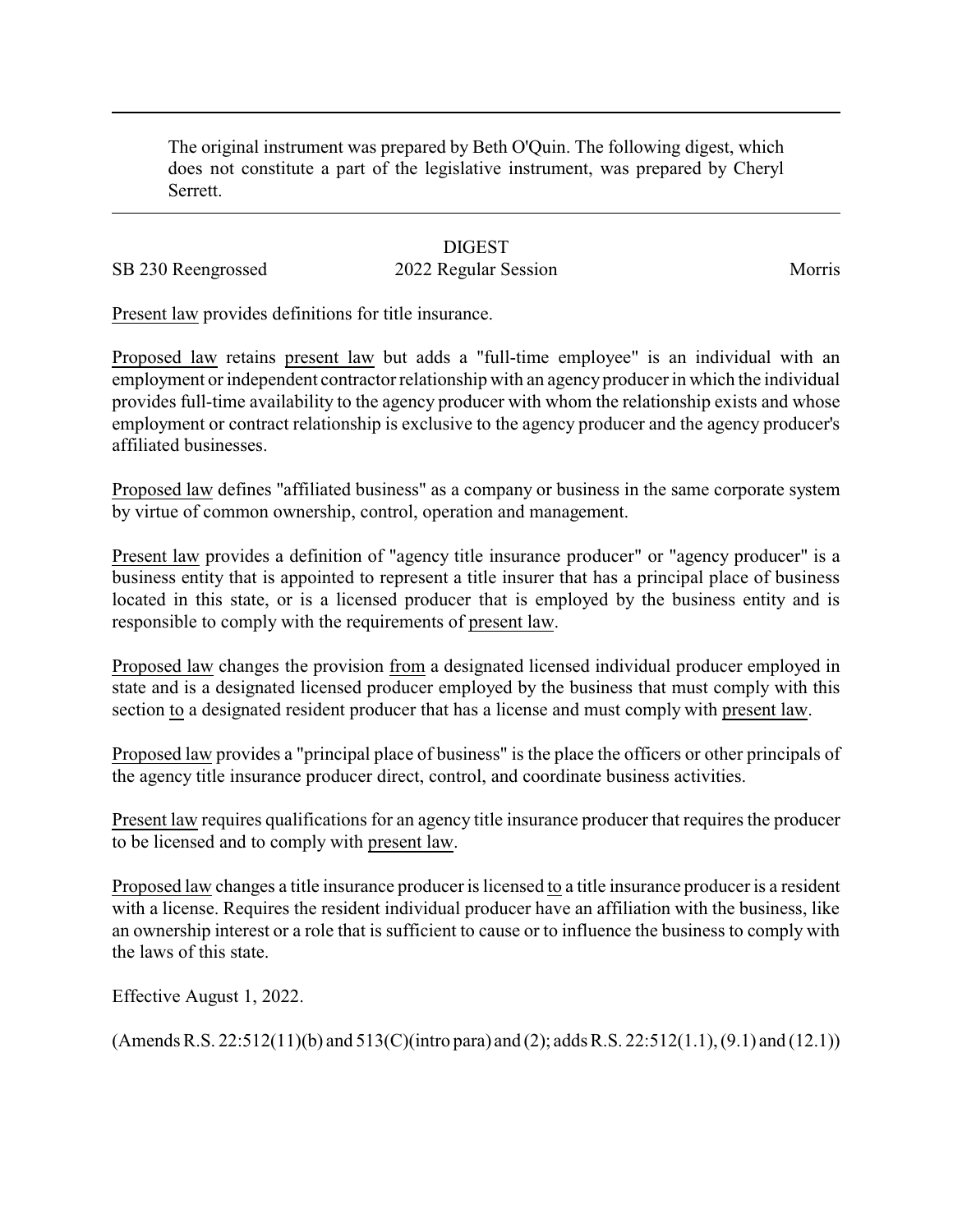The original instrument was prepared by Beth O'Quin. The following digest, which does not constitute a part of the legislative instrument, was prepared by Cheryl Serrett.

## **DIGEST**

## SB 230 Reengrossed 2022 Regular Session Morris

Present law provides definitions for title insurance.

Proposed law retains present law but adds a "full-time employee" is an individual with an employment or independent contractor relationship with an agency producer in which the individual provides full-time availability to the agency producer with whom the relationship exists and whose employment or contract relationship is exclusive to the agency producer and the agency producer's affiliated businesses.

Proposed law defines "affiliated business" as a company or business in the same corporate system by virtue of common ownership, control, operation and management.

Present law provides a definition of "agency title insurance producer" or "agency producer" is a business entity that is appointed to represent a title insurer that has a principal place of business located in this state, or is a licensed producer that is employed by the business entity and is responsible to comply with the requirements of present law.

Proposed law changes the provision from a designated licensed individual producer employed in state and is a designated licensed producer employed by the business that must comply with this section to a designated resident producer that has a license and must comply with present law.

Proposed law provides a "principal place of business" is the place the officers or other principals of the agency title insurance producer direct, control, and coordinate business activities.

Present law requires qualifications for an agency title insurance producer that requires the producer to be licensed and to comply with present law.

Proposed law changes a title insurance producer is licensed to a title insurance producer is a resident with a license. Requires the resident individual producer have an affiliation with the business, like an ownership interest or a role that is sufficient to cause or to influence the business to comply with the laws of this state.

Effective August 1, 2022.

(Amends R.S. 22:512(11)(b) and 513(C)(intro para) and (2); adds R.S. 22:512(1.1), (9.1) and (12.1))